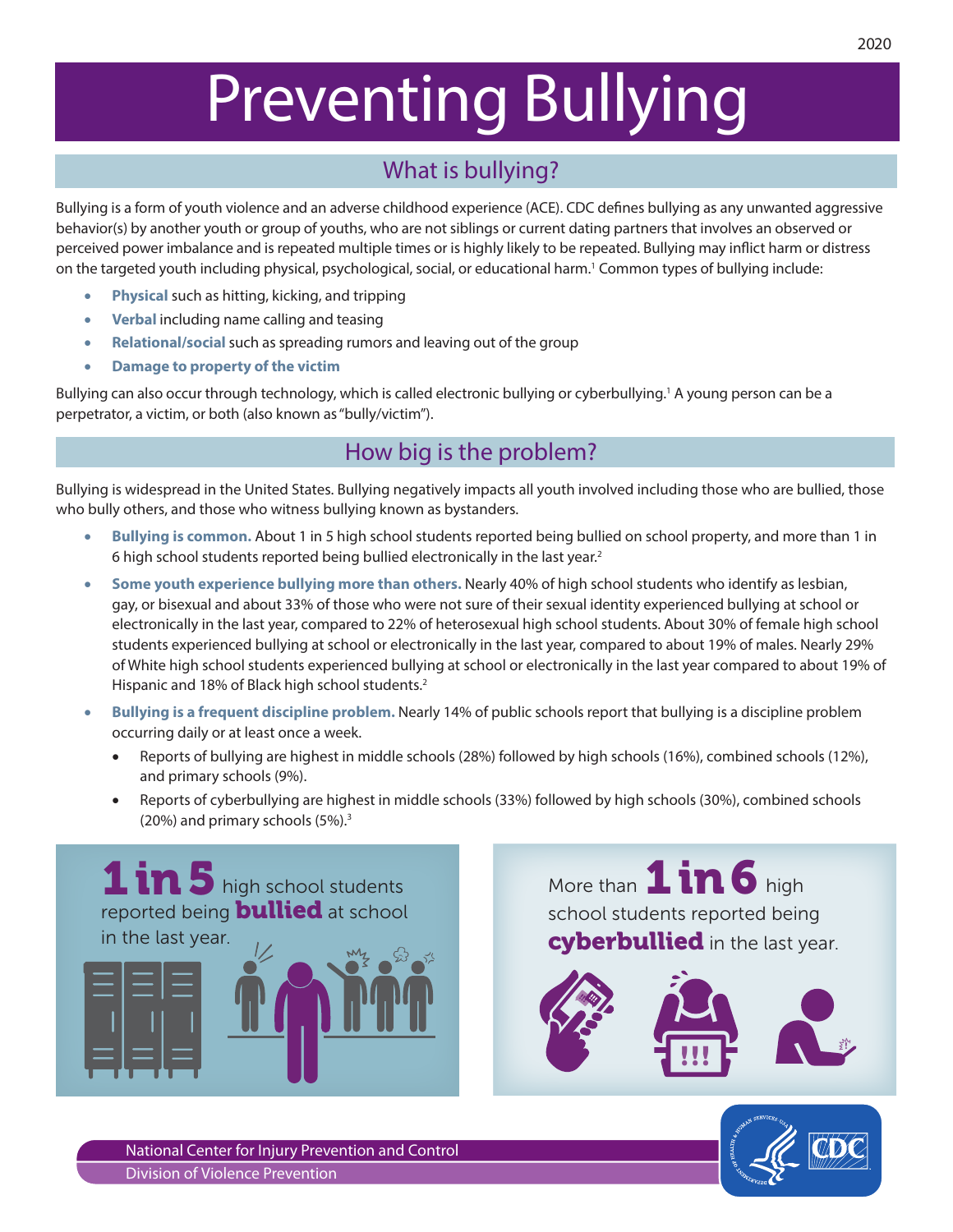# Preventing Bullying

# What is bullying?

Bullying is a form of youth violence and an adverse childhood experience (ACE). CDC defines bullying as any unwanted aggressive behavior(s) by another youth or group of youths, who are not siblings or current dating partners that involves an observed or perceived power imbalance and is repeated multiple times or is highly likely to be repeated. Bullying may inflict harm or distress on the targeted youth including physical, psychological, social, or educational harm.1 Common types of bullying include:

- **Physical** such as hitting, kicking, and tripping
- • **Verbal** including name calling and teasing
- **Relational/social** such as spreading rumors and leaving out of the group
- • **Damage to property of the victim**

Bullying can also occur through technology, which is called electronic bullying or cyberbullying.<sup>1</sup> A young person can be a perpetrator, a victim, or both (also known as "bully/victim").

## How big is the problem?

Bullying is widespread in the United States. Bullying negatively impacts all youth involved including those who are bullied, those who bully others, and those who witness bullying known as bystanders.

- **Bullying is common.** About 1 in 5 high school students reported being bullied on school property, and more than 1 in 6 high school students reported being bullied electronically in the last year.2
- Some youth experience bullying more than others. Nearly 40% of high school students who identify as lesbian, gay, or bisexual and about 33% of those who were not sure of their sexual identity experienced bullying at school or electronically in the last year, compared to 22% of heterosexual high school students. About 30% of female high school students experienced bullying at school or electronically in the last year, compared to about 19% of males. Nearly 29% of White high school students experienced bullying at school or electronically in the last year compared to about 19% of Hispanic and 18% of Black high school students.<sup>2</sup>
- • **Bullying is a frequent discipline problem.** Nearly 14% of public schools report that bullying is a discipline problem occurring daily or at least once a week.
	- Reports of bullying are highest in middle schools (28%) followed by high schools (16%), combined schools (12%), and primary schools (9%).
	- Reports of cyberbullying are highest in middle schools (33%) followed by high schools (30%), combined schools (20%) and primary schools (5%).3



school students reported being **cyberbullied** in the last year. More than 1 in 6 high





National Center for Injury Prevention and Control Division of Violence Prevention